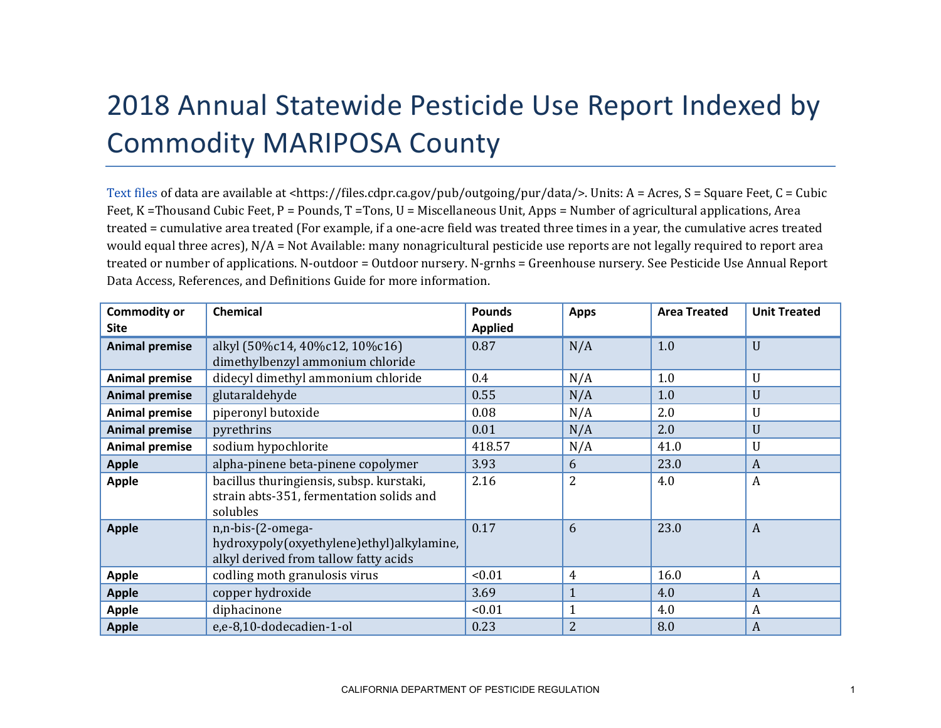## 2018 Annual Statewide Pesticide Use Report Indexed by Commodity MARIPOSA County

[Text files](https://files.cdpr.ca.gov/pub/outgoing/pur/data/) of data are available at <https://files.cdpr.ca.gov/pub/outgoing/pur/data/>. Units: A = Acres, S = Square Feet, C = Cubic Feet, K = Thousand Cubic Feet, P = Pounds, T = Tons, U = Miscellaneous Unit, Apps = Number of agricultural applications, Area treated = cumulative area treated (For example, if a one-acre field was treated three times in a year, the cumulative acres treated would equal three acres), N/A = Not Available: many nonagricultural pesticide use reports are not legally required to report area treated or number of applications. N-outdoor = Outdoor nursery. N-grnhs = Greenhouse nursery. See Pesticide Use Annual Report Data Access, References, and Definitions Guide for more information.

| <b>Commodity or</b><br><b>Site</b> | <b>Chemical</b>                                                                                         | <b>Pounds</b><br><b>Applied</b> | <b>Apps</b>    | <b>Area Treated</b> | <b>Unit Treated</b> |
|------------------------------------|---------------------------------------------------------------------------------------------------------|---------------------------------|----------------|---------------------|---------------------|
| <b>Animal premise</b>              | alkyl (50%c14, 40%c12, 10%c16)<br>dimethylbenzyl ammonium chloride                                      | 0.87                            | N/A            | 1.0                 | U                   |
| <b>Animal premise</b>              | didecyl dimethyl ammonium chloride                                                                      | 0.4                             | N/A            | 1.0                 | U                   |
| <b>Animal premise</b>              | glutaraldehyde                                                                                          | 0.55                            | N/A            | 1.0                 | U                   |
| <b>Animal premise</b>              | piperonyl butoxide                                                                                      | 0.08                            | N/A            | 2.0                 | U                   |
| <b>Animal premise</b>              | pyrethrins                                                                                              | 0.01                            | N/A            | 2.0                 | U                   |
| <b>Animal premise</b>              | sodium hypochlorite                                                                                     | 418.57                          | N/A            | 41.0                | U                   |
| <b>Apple</b>                       | alpha-pinene beta-pinene copolymer                                                                      | 3.93                            | 6              | 23.0                | A                   |
| <b>Apple</b>                       | bacillus thuringiensis, subsp. kurstaki,<br>strain abts-351, fermentation solids and<br>solubles        | 2.16                            | $\overline{2}$ | 4.0                 | A                   |
| <b>Apple</b>                       | n,n-bis-(2-omega-<br>hydroxypoly(oxyethylene)ethyl)alkylamine,<br>alkyl derived from tallow fatty acids | 0.17                            | 6              | 23.0                | $\boldsymbol{A}$    |
| <b>Apple</b>                       | codling moth granulosis virus                                                                           | < 0.01                          | $\overline{4}$ | 16.0                | $\boldsymbol{A}$    |
| <b>Apple</b>                       | copper hydroxide                                                                                        | 3.69                            | $\mathbf{1}$   | 4.0                 | A                   |
| <b>Apple</b>                       | diphacinone                                                                                             | < 0.01                          |                | 4.0                 | A                   |
| <b>Apple</b>                       | e,e-8,10-dodecadien-1-ol                                                                                | 0.23                            | $\overline{2}$ | 8.0                 | $\boldsymbol{A}$    |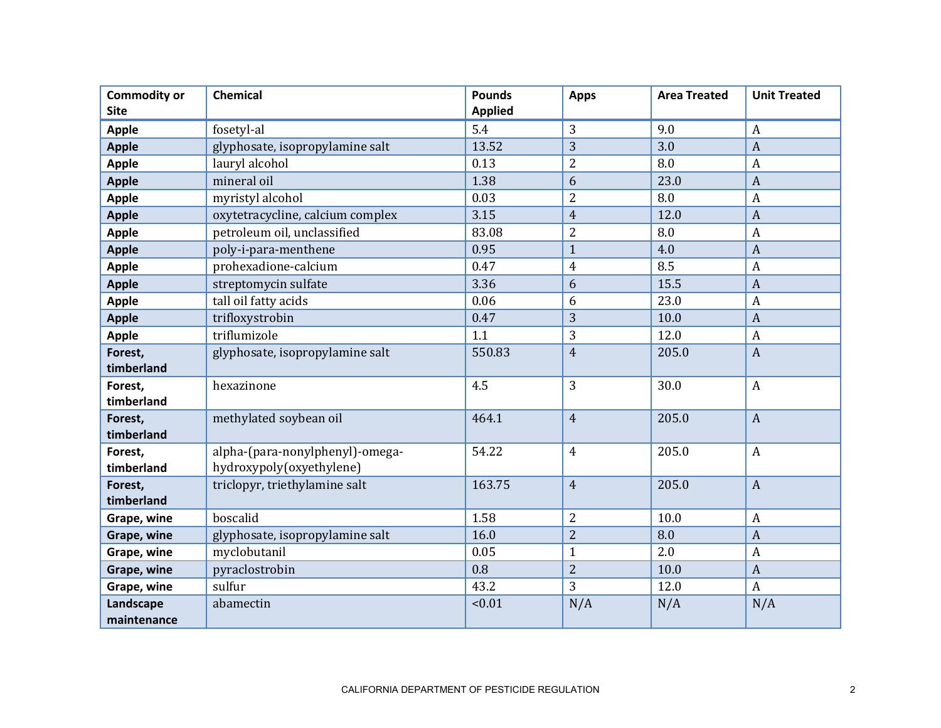| <b>Commodity or</b><br><b>Site</b> | Chemical                         | <b>Pounds</b><br><b>Applied</b> | <b>Apps</b>    | <b>Area Treated</b> | <b>Unit Treated</b> |
|------------------------------------|----------------------------------|---------------------------------|----------------|---------------------|---------------------|
| <b>Apple</b>                       | fosetyl-al                       | 5.4                             | 3              | 9.0                 | $\boldsymbol{A}$    |
| <b>Apple</b>                       | glyphosate, isopropylamine salt  | 13.52                           | 3              | 3.0                 | $\boldsymbol{A}$    |
| <b>Apple</b>                       | lauryl alcohol                   | 0.13                            | $\overline{2}$ | 8.0                 | $\boldsymbol{A}$    |
| <b>Apple</b>                       | mineral oil                      | 1.38                            | 6              | 23.0                | $\mathbf{A}$        |
| <b>Apple</b>                       | myristyl alcohol                 | 0.03                            | $\overline{2}$ | 8.0                 | A                   |
| <b>Apple</b>                       | oxytetracycline, calcium complex | 3.15                            | $\overline{4}$ | 12.0                | $\boldsymbol{A}$    |
| <b>Apple</b>                       | petroleum oil, unclassified      | 83.08                           | $\overline{2}$ | 8.0                 | $\boldsymbol{A}$    |
| <b>Apple</b>                       | poly-i-para-menthene             | 0.95                            | $\mathbf{1}$   | 4.0                 | $\boldsymbol{A}$    |
| <b>Apple</b>                       | prohexadione-calcium             | 0.47                            | $\overline{4}$ | 8.5                 | $\boldsymbol{A}$    |
| <b>Apple</b>                       | streptomycin sulfate             | 3.36                            | 6              | 15.5                | $\boldsymbol{A}$    |
| <b>Apple</b>                       | tall oil fatty acids             | 0.06                            | 6              | 23.0                | $\boldsymbol{A}$    |
| <b>Apple</b>                       | trifloxystrobin                  | 0.47                            | 3              | 10.0                | $\boldsymbol{A}$    |
| <b>Apple</b>                       | triflumizole                     | 1.1                             | 3              | 12.0                | $\boldsymbol{A}$    |
| Forest,                            | glyphosate, isopropylamine salt  | 550.83                          | $\overline{4}$ | 205.0               | $\boldsymbol{A}$    |
| timberland                         |                                  |                                 |                |                     |                     |
| Forest,                            | hexazinone                       | 4.5                             | 3              | 30.0                | $\boldsymbol{A}$    |
| timberland                         |                                  |                                 |                |                     |                     |
| Forest,                            | methylated soybean oil           | 464.1                           | $\overline{4}$ | 205.0               | $\mathbf{A}$        |
| timberland                         |                                  |                                 |                |                     |                     |
| Forest,                            | alpha-(para-nonylphenyl)-omega-  | 54.22                           | $\overline{4}$ | 205.0               | $\boldsymbol{A}$    |
| timberland                         | hydroxypoly(oxyethylene)         |                                 |                |                     |                     |
| Forest,<br>timberland              | triclopyr, triethylamine salt    | 163.75                          | $\overline{4}$ | 205.0               | $\mathbf{A}$        |
| Grape, wine                        | boscalid                         | 1.58                            | $\overline{2}$ | 10.0                | $\boldsymbol{A}$    |
| Grape, wine                        | glyphosate, isopropylamine salt  | 16.0                            | $\overline{2}$ | 8.0                 | $\mathbf{A}$        |
| Grape, wine                        | myclobutanil                     | 0.05                            | $\mathbf{1}$   | 2.0                 | $\boldsymbol{A}$    |
| Grape, wine                        | pyraclostrobin                   | 0.8                             | $\overline{2}$ | 10.0                | $\overline{A}$      |
| Grape, wine                        | sulfur                           | 43.2                            | 3              | 12.0                | $\boldsymbol{A}$    |
| Landscape                          | abamectin                        | < 0.01                          | N/A            | N/A                 | N/A                 |
| maintenance                        |                                  |                                 |                |                     |                     |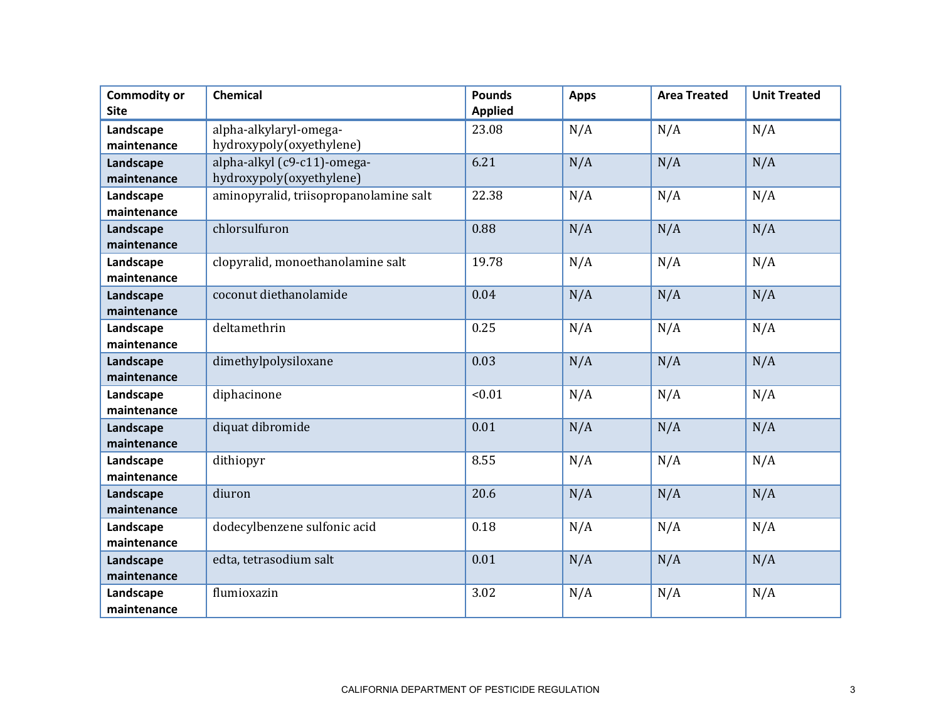| <b>Commodity or</b><br><b>Site</b> | <b>Chemical</b>                                         | <b>Pounds</b><br><b>Applied</b> | <b>Apps</b> | <b>Area Treated</b> | <b>Unit Treated</b> |
|------------------------------------|---------------------------------------------------------|---------------------------------|-------------|---------------------|---------------------|
| Landscape<br>maintenance           | alpha-alkylaryl-omega-<br>hydroxypoly(oxyethylene)      | 23.08                           | N/A         | N/A                 | N/A                 |
| Landscape<br>maintenance           | alpha-alkyl (c9-c11)-omega-<br>hydroxypoly(oxyethylene) | 6.21                            | N/A         | N/A                 | N/A                 |
| Landscape<br>maintenance           | aminopyralid, triisopropanolamine salt                  | 22.38                           | N/A         | N/A                 | N/A                 |
| Landscape<br>maintenance           | chlorsulfuron                                           | 0.88                            | N/A         | N/A                 | N/A                 |
| Landscape<br>maintenance           | clopyralid, monoethanolamine salt                       | 19.78                           | N/A         | N/A                 | N/A                 |
| Landscape<br>maintenance           | coconut diethanolamide                                  | 0.04                            | N/A         | N/A                 | N/A                 |
| Landscape<br>maintenance           | deltamethrin                                            | 0.25                            | N/A         | N/A                 | N/A                 |
| Landscape<br>maintenance           | dimethylpolysiloxane                                    | 0.03                            | N/A         | N/A                 | N/A                 |
| Landscape<br>maintenance           | diphacinone                                             | < 0.01                          | N/A         | N/A                 | N/A                 |
| Landscape<br>maintenance           | diquat dibromide                                        | 0.01                            | N/A         | N/A                 | N/A                 |
| Landscape<br>maintenance           | dithiopyr                                               | 8.55                            | N/A         | N/A                 | N/A                 |
| Landscape<br>maintenance           | diuron                                                  | 20.6                            | N/A         | N/A                 | N/A                 |
| Landscape<br>maintenance           | dodecylbenzene sulfonic acid                            | 0.18                            | N/A         | N/A                 | N/A                 |
| Landscape<br>maintenance           | edta, tetrasodium salt                                  | 0.01                            | N/A         | N/A                 | N/A                 |
| Landscape<br>maintenance           | flumioxazin                                             | 3.02                            | N/A         | N/A                 | N/A                 |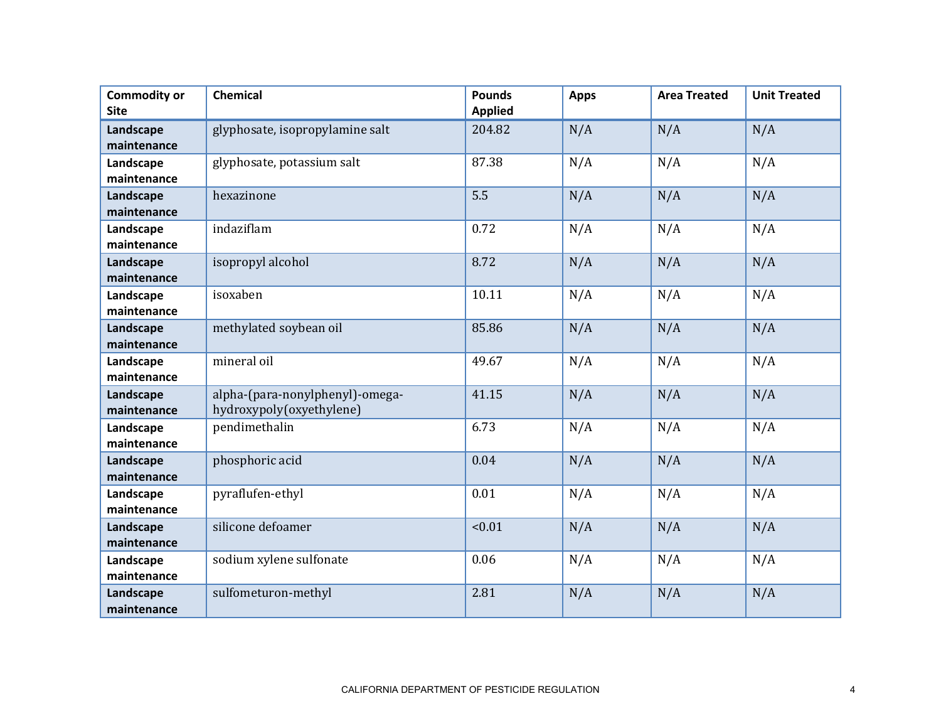| <b>Commodity or</b><br><b>Site</b> | <b>Chemical</b>                                             | <b>Pounds</b><br><b>Applied</b> | <b>Apps</b> | <b>Area Treated</b> | <b>Unit Treated</b> |
|------------------------------------|-------------------------------------------------------------|---------------------------------|-------------|---------------------|---------------------|
| Landscape<br>maintenance           | glyphosate, isopropylamine salt                             | 204.82                          | N/A         | N/A                 | N/A                 |
| Landscape<br>maintenance           | glyphosate, potassium salt                                  | 87.38                           | N/A         | N/A                 | N/A                 |
| Landscape<br>maintenance           | hexazinone                                                  | 5.5                             | N/A         | N/A                 | N/A                 |
| Landscape<br>maintenance           | indaziflam                                                  | 0.72                            | N/A         | N/A                 | N/A                 |
| Landscape<br>maintenance           | isopropyl alcohol                                           | 8.72                            | N/A         | N/A                 | N/A                 |
| Landscape<br>maintenance           | isoxaben                                                    | 10.11                           | N/A         | N/A                 | N/A                 |
| Landscape<br>maintenance           | methylated soybean oil                                      | 85.86                           | N/A         | N/A                 | N/A                 |
| Landscape<br>maintenance           | mineral oil                                                 | 49.67                           | N/A         | N/A                 | N/A                 |
| Landscape<br>maintenance           | alpha-(para-nonylphenyl)-omega-<br>hydroxypoly(oxyethylene) | 41.15                           | N/A         | N/A                 | N/A                 |
| Landscape<br>maintenance           | pendimethalin                                               | 6.73                            | N/A         | N/A                 | N/A                 |
| Landscape<br>maintenance           | phosphoric acid                                             | 0.04                            | N/A         | N/A                 | N/A                 |
| Landscape<br>maintenance           | pyraflufen-ethyl                                            | 0.01                            | N/A         | N/A                 | N/A                 |
| Landscape<br>maintenance           | silicone defoamer                                           | < 0.01                          | N/A         | N/A                 | N/A                 |
| Landscape<br>maintenance           | sodium xylene sulfonate                                     | 0.06                            | N/A         | N/A                 | N/A                 |
| Landscape<br>maintenance           | sulfometuron-methyl                                         | 2.81                            | N/A         | N/A                 | N/A                 |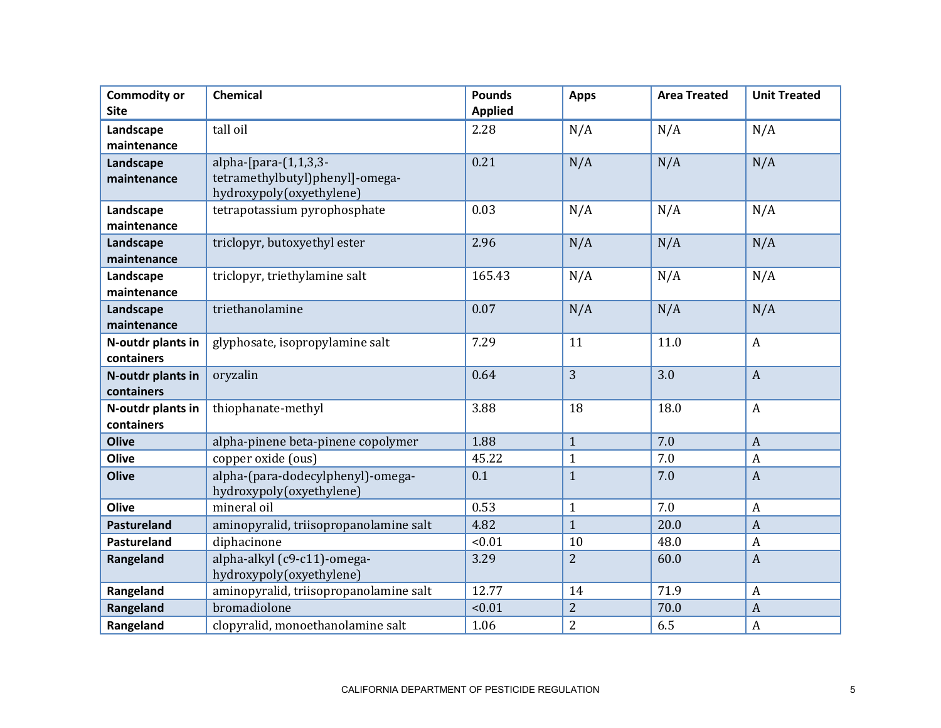| <b>Commodity or</b><br><b>Site</b> | <b>Chemical</b>                                                                         | <b>Pounds</b><br><b>Applied</b> | <b>Apps</b>    | <b>Area Treated</b> | <b>Unit Treated</b> |
|------------------------------------|-----------------------------------------------------------------------------------------|---------------------------------|----------------|---------------------|---------------------|
| Landscape<br>maintenance           | tall oil                                                                                | 2.28                            | N/A            | N/A                 | N/A                 |
| Landscape<br>maintenance           | alpha- $[para-(1,1,3,3-$<br>tetramethylbutyl)phenyl]-omega-<br>hydroxypoly(oxyethylene) | 0.21                            | N/A            | N/A                 | N/A                 |
| Landscape<br>maintenance           | tetrapotassium pyrophosphate                                                            | 0.03                            | N/A            | N/A                 | N/A                 |
| Landscape<br>maintenance           | triclopyr, butoxyethyl ester                                                            | 2.96                            | N/A            | N/A                 | N/A                 |
| Landscape<br>maintenance           | triclopyr, triethylamine salt                                                           | 165.43                          | N/A            | N/A                 | N/A                 |
| Landscape<br>maintenance           | triethanolamine                                                                         | 0.07                            | N/A            | N/A                 | N/A                 |
| N-outdr plants in<br>containers    | glyphosate, isopropylamine salt                                                         | 7.29                            | 11             | 11.0                | $\boldsymbol{A}$    |
| N-outdr plants in<br>containers    | oryzalin                                                                                | 0.64                            | $\overline{3}$ | 3.0                 | $\overline{A}$      |
| N-outdr plants in<br>containers    | thiophanate-methyl                                                                      | 3.88                            | 18             | 18.0                | $\boldsymbol{A}$    |
| <b>Olive</b>                       | alpha-pinene beta-pinene copolymer                                                      | 1.88                            | $\mathbf{1}$   | 7.0                 | $\overline{A}$      |
| Olive                              | copper oxide (ous)                                                                      | 45.22                           | $\mathbf{1}$   | 7.0                 | $\boldsymbol{A}$    |
| <b>Olive</b>                       | alpha-(para-dodecylphenyl)-omega-<br>hydroxypoly(oxyethylene)                           | 0.1                             | $\mathbf{1}$   | 7.0                 | $\overline{A}$      |
| Olive                              | mineral oil                                                                             | 0.53                            | $\mathbf{1}$   | 7.0                 | $\boldsymbol{A}$    |
| Pastureland                        | aminopyralid, triisopropanolamine salt                                                  | 4.82                            | $\mathbf{1}$   | 20.0                | $\overline{A}$      |
| Pastureland                        | diphacinone                                                                             | < 0.01                          | 10             | 48.0                | $\boldsymbol{A}$    |
| Rangeland                          | alpha-alkyl (c9-c11)-omega-<br>hydroxypoly(oxyethylene)                                 | 3.29                            | $\overline{2}$ | 60.0                | $\boldsymbol{A}$    |
| Rangeland                          | aminopyralid, triisopropanolamine salt                                                  | 12.77                           | 14             | 71.9                | $\overline{A}$      |
| Rangeland                          | bromadiolone                                                                            | < 0.01                          | $\overline{2}$ | 70.0                | $\boldsymbol{A}$    |
| Rangeland                          | clopyralid, monoethanolamine salt                                                       | 1.06                            | $\overline{2}$ | 6.5                 | A                   |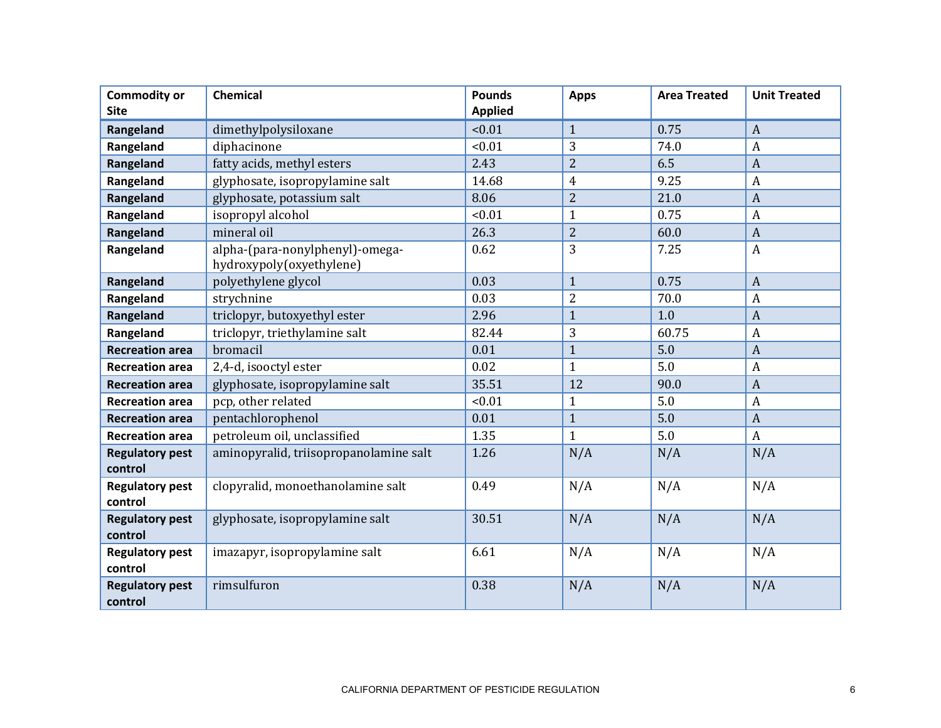| <b>Commodity or</b><br><b>Site</b> | <b>Chemical</b>                                             | <b>Pounds</b><br><b>Applied</b> | <b>Apps</b>    | <b>Area Treated</b> | <b>Unit Treated</b> |
|------------------------------------|-------------------------------------------------------------|---------------------------------|----------------|---------------------|---------------------|
| Rangeland                          | dimethylpolysiloxane                                        | < 0.01                          | $\mathbf{1}$   | 0.75                | $\overline{A}$      |
| Rangeland                          | diphacinone                                                 | < 0.01                          | 3              | 74.0                | $\boldsymbol{A}$    |
| Rangeland                          | fatty acids, methyl esters                                  | 2.43                            | $\overline{2}$ | 6.5                 | $\overline{A}$      |
| Rangeland                          | glyphosate, isopropylamine salt                             | 14.68                           | $\overline{4}$ | 9.25                | $\overline{A}$      |
| Rangeland                          | glyphosate, potassium salt                                  | 8.06                            | $\overline{2}$ | 21.0                | $\overline{A}$      |
| Rangeland                          | isopropyl alcohol                                           | < 0.01                          | $\overline{1}$ | 0.75                | $\boldsymbol{A}$    |
| Rangeland                          | mineral oil                                                 | 26.3                            | $\overline{2}$ | 60.0                | $\boldsymbol{A}$    |
| Rangeland                          | alpha-(para-nonylphenyl)-omega-<br>hydroxypoly(oxyethylene) | 0.62                            | 3              | 7.25                | $\boldsymbol{A}$    |
| Rangeland                          | polyethylene glycol                                         | 0.03                            | $\mathbf{1}$   | 0.75                | $\overline{A}$      |
| Rangeland                          | strychnine                                                  | 0.03                            | $\overline{2}$ | 70.0                | $\boldsymbol{A}$    |
| Rangeland                          | triclopyr, butoxyethyl ester                                | 2.96                            | $\mathbf{1}$   | 1.0                 | $\overline{A}$      |
| Rangeland                          | triclopyr, triethylamine salt                               | 82.44                           | 3              | 60.75               | $\boldsymbol{A}$    |
| <b>Recreation area</b>             | bromacil                                                    | 0.01                            | $\mathbf{1}$   | 5.0                 | $\overline{A}$      |
| <b>Recreation area</b>             | 2,4-d, isooctyl ester                                       | 0.02                            | $\mathbf{1}$   | 5.0                 | $\boldsymbol{A}$    |
| <b>Recreation area</b>             | glyphosate, isopropylamine salt                             | 35.51                           | 12             | 90.0                | $\overline{A}$      |
| <b>Recreation area</b>             | pcp, other related                                          | < 0.01                          | $\mathbf{1}$   | 5.0                 | $\boldsymbol{A}$    |
| <b>Recreation area</b>             | pentachlorophenol                                           | 0.01                            | $\mathbf{1}$   | 5.0                 | $\overline{A}$      |
| <b>Recreation area</b>             | petroleum oil, unclassified                                 | 1.35                            | $\mathbf{1}$   | 5.0                 | $\boldsymbol{A}$    |
| <b>Regulatory pest</b><br>control  | aminopyralid, triisopropanolamine salt                      | 1.26                            | N/A            | N/A                 | N/A                 |
| <b>Regulatory pest</b><br>control  | clopyralid, monoethanolamine salt                           | 0.49                            | N/A            | N/A                 | N/A                 |
| <b>Regulatory pest</b><br>control  | glyphosate, isopropylamine salt                             | 30.51                           | N/A            | N/A                 | N/A                 |
| <b>Regulatory pest</b><br>control  | imazapyr, isopropylamine salt                               | 6.61                            | N/A            | N/A                 | N/A                 |
| <b>Regulatory pest</b><br>control  | rimsulfuron                                                 | 0.38                            | N/A            | N/A                 | N/A                 |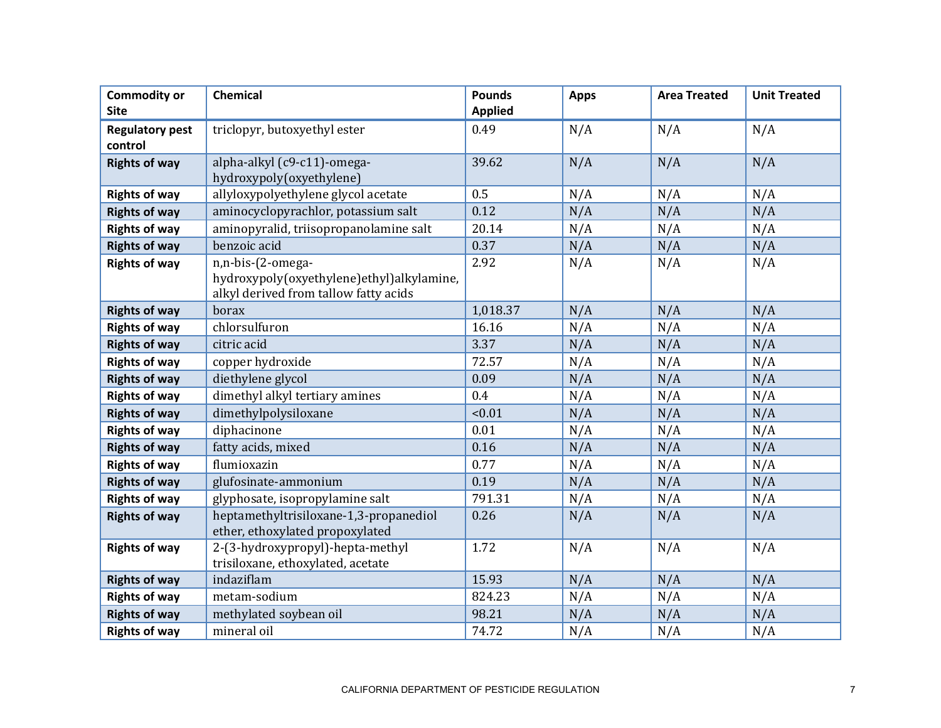| <b>Commodity or</b><br><b>Site</b> | <b>Chemical</b>                                                                                         | <b>Pounds</b><br><b>Applied</b> | <b>Apps</b> | <b>Area Treated</b> | <b>Unit Treated</b> |
|------------------------------------|---------------------------------------------------------------------------------------------------------|---------------------------------|-------------|---------------------|---------------------|
| <b>Regulatory pest</b><br>control  | triclopyr, butoxyethyl ester                                                                            | 0.49                            | N/A         | N/A                 | N/A                 |
| <b>Rights of way</b>               | alpha-alkyl (c9-c11)-omega-<br>hydroxypoly(oxyethylene)                                                 | 39.62                           | N/A         | N/A                 | N/A                 |
| <b>Rights of way</b>               | allyloxypolyethylene glycol acetate                                                                     | 0.5                             | N/A         | N/A                 | N/A                 |
| <b>Rights of way</b>               | aminocyclopyrachlor, potassium salt                                                                     | 0.12                            | N/A         | N/A                 | N/A                 |
| <b>Rights of way</b>               | aminopyralid, triisopropanolamine salt                                                                  | 20.14                           | N/A         | N/A                 | N/A                 |
| <b>Rights of way</b>               | benzoic acid                                                                                            | 0.37                            | N/A         | N/A                 | N/A                 |
| <b>Rights of way</b>               | n,n-bis-(2-omega-<br>hydroxypoly(oxyethylene)ethyl)alkylamine,<br>alkyl derived from tallow fatty acids | 2.92                            | N/A         | N/A                 | N/A                 |
| <b>Rights of way</b>               | borax                                                                                                   | 1,018.37                        | N/A         | N/A                 | N/A                 |
| <b>Rights of way</b>               | chlorsulfuron                                                                                           | 16.16                           | N/A         | N/A                 | N/A                 |
| <b>Rights of way</b>               | citric acid                                                                                             | 3.37                            | N/A         | N/A                 | N/A                 |
| <b>Rights of way</b>               | copper hydroxide                                                                                        | 72.57                           | N/A         | N/A                 | N/A                 |
| <b>Rights of way</b>               | diethylene glycol                                                                                       | 0.09                            | N/A         | N/A                 | N/A                 |
| <b>Rights of way</b>               | dimethyl alkyl tertiary amines                                                                          | 0.4                             | N/A         | N/A                 | N/A                 |
| <b>Rights of way</b>               | dimethylpolysiloxane                                                                                    | < 0.01                          | N/A         | N/A                 | N/A                 |
| <b>Rights of way</b>               | diphacinone                                                                                             | 0.01                            | N/A         | N/A                 | N/A                 |
| <b>Rights of way</b>               | fatty acids, mixed                                                                                      | 0.16                            | N/A         | N/A                 | N/A                 |
| <b>Rights of way</b>               | flumioxazin                                                                                             | 0.77                            | N/A         | N/A                 | N/A                 |
| <b>Rights of way</b>               | glufosinate-ammonium                                                                                    | 0.19                            | N/A         | N/A                 | N/A                 |
| <b>Rights of way</b>               | glyphosate, isopropylamine salt                                                                         | 791.31                          | N/A         | N/A                 | N/A                 |
| <b>Rights of way</b>               | heptamethyltrisiloxane-1,3-propanediol<br>ether, ethoxylated propoxylated                               | 0.26                            | N/A         | N/A                 | N/A                 |
| <b>Rights of way</b>               | 2-(3-hydroxypropyl)-hepta-methyl<br>trisiloxane, ethoxylated, acetate                                   | 1.72                            | N/A         | N/A                 | N/A                 |
| <b>Rights of way</b>               | indaziflam                                                                                              | 15.93                           | N/A         | N/A                 | N/A                 |
| <b>Rights of way</b>               | metam-sodium                                                                                            | 824.23                          | N/A         | N/A                 | N/A                 |
| <b>Rights of way</b>               | methylated soybean oil                                                                                  | 98.21                           | N/A         | N/A                 | N/A                 |
| <b>Rights of way</b>               | mineral oil                                                                                             | 74.72                           | N/A         | N/A                 | N/A                 |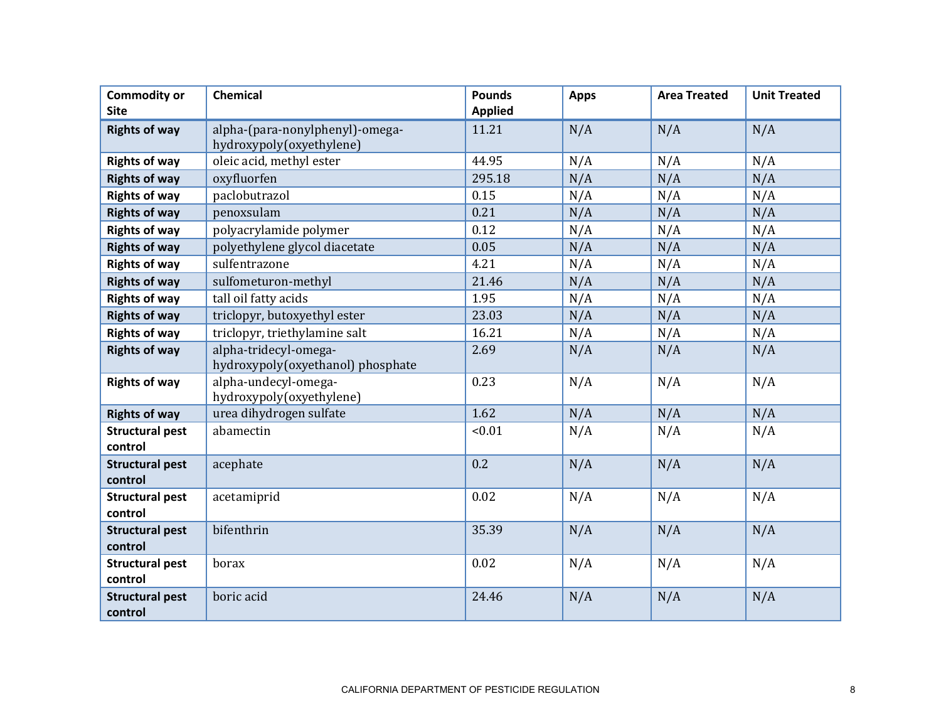| <b>Commodity or</b><br><b>Site</b> | <b>Chemical</b>                                             | <b>Pounds</b><br><b>Applied</b> | <b>Apps</b> | <b>Area Treated</b> | <b>Unit Treated</b> |
|------------------------------------|-------------------------------------------------------------|---------------------------------|-------------|---------------------|---------------------|
| <b>Rights of way</b>               | alpha-(para-nonylphenyl)-omega-<br>hydroxypoly(oxyethylene) | 11.21                           | N/A         | N/A                 | N/A                 |
| <b>Rights of way</b>               | oleic acid, methyl ester                                    | 44.95                           | N/A         | N/A                 | N/A                 |
| <b>Rights of way</b>               | oxyfluorfen                                                 | 295.18                          | N/A         | N/A                 | N/A                 |
| <b>Rights of way</b>               | paclobutrazol                                               | 0.15                            | N/A         | N/A                 | N/A                 |
| <b>Rights of way</b>               | penoxsulam                                                  | 0.21                            | N/A         | N/A                 | N/A                 |
| <b>Rights of way</b>               | polyacrylamide polymer                                      | 0.12                            | N/A         | N/A                 | N/A                 |
| <b>Rights of way</b>               | polyethylene glycol diacetate                               | 0.05                            | N/A         | N/A                 | N/A                 |
| <b>Rights of way</b>               | sulfentrazone                                               | 4.21                            | N/A         | N/A                 | N/A                 |
| <b>Rights of way</b>               | sulfometuron-methyl                                         | 21.46                           | N/A         | N/A                 | N/A                 |
| <b>Rights of way</b>               | tall oil fatty acids                                        | 1.95                            | N/A         | N/A                 | N/A                 |
| <b>Rights of way</b>               | triclopyr, butoxyethyl ester                                | 23.03                           | N/A         | N/A                 | N/A                 |
| <b>Rights of way</b>               | triclopyr, triethylamine salt                               | 16.21                           | N/A         | N/A                 | N/A                 |
| <b>Rights of way</b>               | alpha-tridecyl-omega-<br>hydroxypoly(oxyethanol) phosphate  | 2.69                            | N/A         | N/A                 | N/A                 |
| <b>Rights of way</b>               | alpha-undecyl-omega-<br>hydroxypoly(oxyethylene)            | 0.23                            | N/A         | N/A                 | N/A                 |
| <b>Rights of way</b>               | urea dihydrogen sulfate                                     | 1.62                            | N/A         | N/A                 | N/A                 |
| <b>Structural pest</b><br>control  | abamectin                                                   | < 0.01                          | N/A         | N/A                 | N/A                 |
| <b>Structural pest</b><br>control  | acephate                                                    | 0.2                             | N/A         | N/A                 | N/A                 |
| <b>Structural pest</b><br>control  | acetamiprid                                                 | 0.02                            | N/A         | N/A                 | N/A                 |
| <b>Structural pest</b><br>control  | bifenthrin                                                  | 35.39                           | N/A         | N/A                 | N/A                 |
| <b>Structural pest</b><br>control  | borax                                                       | 0.02                            | N/A         | N/A                 | N/A                 |
| <b>Structural pest</b><br>control  | boric acid                                                  | 24.46                           | N/A         | N/A                 | N/A                 |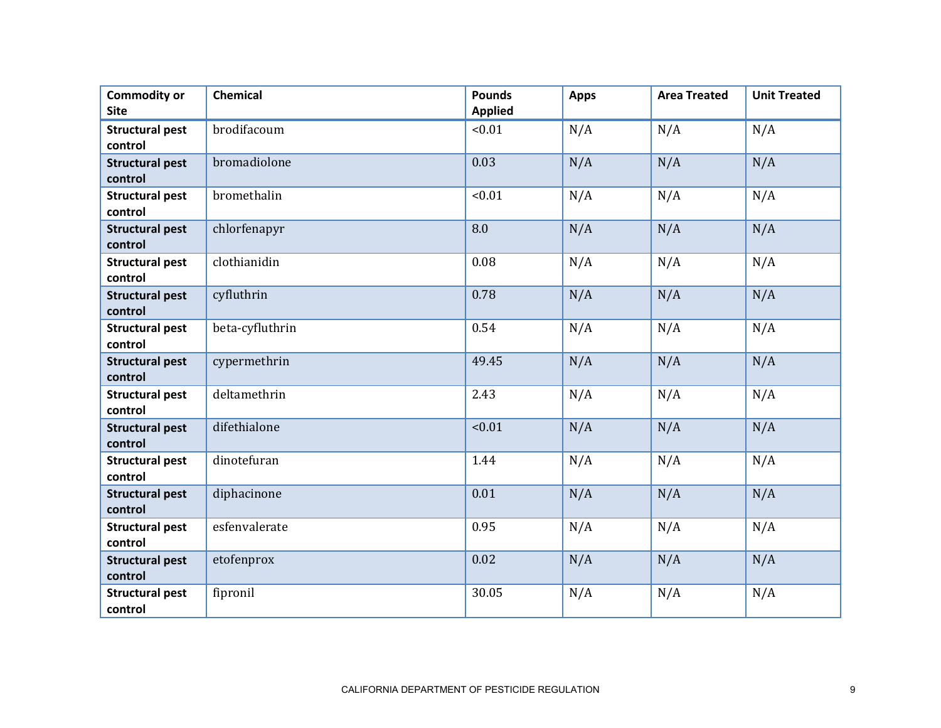| <b>Commodity or</b><br><b>Site</b> | Chemical        | <b>Pounds</b><br><b>Applied</b> | <b>Apps</b> | <b>Area Treated</b> | <b>Unit Treated</b> |
|------------------------------------|-----------------|---------------------------------|-------------|---------------------|---------------------|
| <b>Structural pest</b><br>control  | brodifacoum     | < 0.01                          | N/A         | N/A                 | N/A                 |
| <b>Structural pest</b><br>control  | bromadiolone    | 0.03                            | N/A         | N/A                 | N/A                 |
| <b>Structural pest</b><br>control  | bromethalin     | < 0.01                          | N/A         | N/A                 | N/A                 |
| <b>Structural pest</b><br>control  | chlorfenapyr    | 8.0                             | N/A         | N/A                 | N/A                 |
| <b>Structural pest</b><br>control  | clothianidin    | 0.08                            | N/A         | N/A                 | N/A                 |
| <b>Structural pest</b><br>control  | cyfluthrin      | 0.78                            | N/A         | N/A                 | N/A                 |
| <b>Structural pest</b><br>control  | beta-cyfluthrin | 0.54                            | N/A         | N/A                 | N/A                 |
| <b>Structural pest</b><br>control  | cypermethrin    | 49.45                           | N/A         | N/A                 | N/A                 |
| <b>Structural pest</b><br>control  | deltamethrin    | 2.43                            | N/A         | N/A                 | N/A                 |
| <b>Structural pest</b><br>control  | difethialone    | < 0.01                          | N/A         | N/A                 | N/A                 |
| <b>Structural pest</b><br>control  | dinotefuran     | 1.44                            | N/A         | N/A                 | N/A                 |
| <b>Structural pest</b><br>control  | diphacinone     | 0.01                            | N/A         | N/A                 | N/A                 |
| <b>Structural pest</b><br>control  | esfenvalerate   | 0.95                            | N/A         | N/A                 | N/A                 |
| <b>Structural pest</b><br>control  | etofenprox      | 0.02                            | N/A         | N/A                 | N/A                 |
| <b>Structural pest</b><br>control  | fipronil        | 30.05                           | N/A         | N/A                 | N/A                 |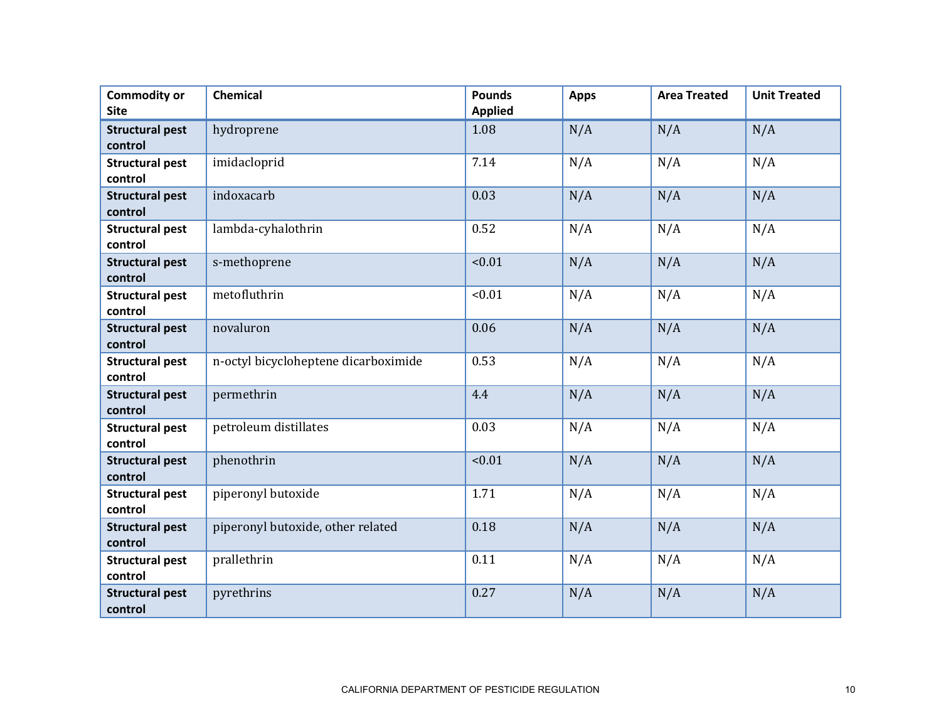| <b>Commodity or</b><br><b>Site</b> | Chemical                             | <b>Pounds</b><br><b>Applied</b> | <b>Apps</b> | <b>Area Treated</b> | <b>Unit Treated</b> |
|------------------------------------|--------------------------------------|---------------------------------|-------------|---------------------|---------------------|
| <b>Structural pest</b><br>control  | hydroprene                           | 1.08                            | N/A         | N/A                 | N/A                 |
| <b>Structural pest</b><br>control  | imidacloprid                         | 7.14                            | N/A         | N/A                 | N/A                 |
| <b>Structural pest</b><br>control  | indoxacarb                           | 0.03                            | N/A         | N/A                 | N/A                 |
| <b>Structural pest</b><br>control  | lambda-cyhalothrin                   | 0.52                            | N/A         | N/A                 | N/A                 |
| <b>Structural pest</b><br>control  | s-methoprene                         | < 0.01                          | N/A         | N/A                 | N/A                 |
| <b>Structural pest</b><br>control  | metofluthrin                         | < 0.01                          | N/A         | N/A                 | N/A                 |
| <b>Structural pest</b><br>control  | novaluron                            | 0.06                            | N/A         | N/A                 | N/A                 |
| <b>Structural pest</b><br>control  | n-octyl bicycloheptene dicarboximide | 0.53                            | N/A         | N/A                 | N/A                 |
| <b>Structural pest</b><br>control  | permethrin                           | 4.4                             | N/A         | N/A                 | N/A                 |
| <b>Structural pest</b><br>control  | petroleum distillates                | 0.03                            | N/A         | N/A                 | N/A                 |
| <b>Structural pest</b><br>control  | phenothrin                           | < 0.01                          | N/A         | N/A                 | N/A                 |
| <b>Structural pest</b><br>control  | piperonyl butoxide                   | 1.71                            | N/A         | N/A                 | N/A                 |
| <b>Structural pest</b><br>control  | piperonyl butoxide, other related    | 0.18                            | N/A         | N/A                 | N/A                 |
| <b>Structural pest</b><br>control  | prallethrin                          | 0.11                            | N/A         | N/A                 | N/A                 |
| <b>Structural pest</b><br>control  | pyrethrins                           | 0.27                            | N/A         | N/A                 | N/A                 |